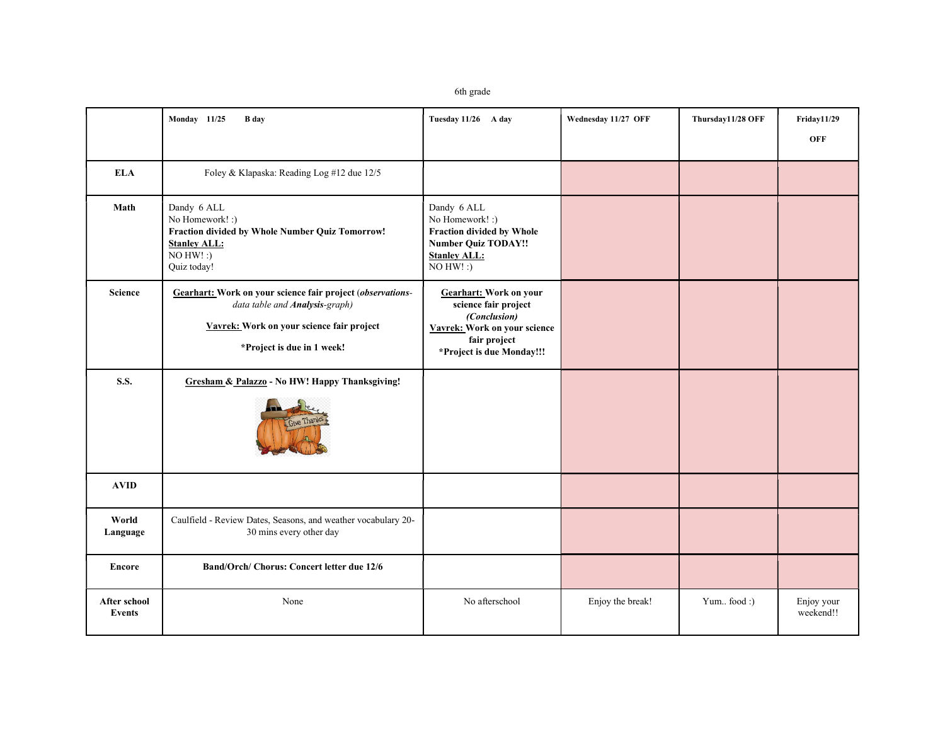6th grade

|                               | Monday 11/25<br><b>B</b> day                                                                                                                                            | Tuesday 11/26 A day                                                                                                                                | Wednesday 11/27 OFF | Thursday11/28 OFF | Friday11/29<br><b>OFF</b> |
|-------------------------------|-------------------------------------------------------------------------------------------------------------------------------------------------------------------------|----------------------------------------------------------------------------------------------------------------------------------------------------|---------------------|-------------------|---------------------------|
| <b>ELA</b>                    | Foley & Klapaska: Reading Log #12 due 12/5                                                                                                                              |                                                                                                                                                    |                     |                   |                           |
| Math                          | Dandy 6 ALL<br>No Homework! :)<br>Fraction divided by Whole Number Quiz Tomorrow!<br><b>Stanley ALL:</b><br>$NO$ HW!:)<br>Quiz today!                                   | Dandy 6 ALL<br>No Homework! :)<br>Fraction divided by Whole<br><b>Number Quiz TODAY!!</b><br><b>Stanley ALL:</b><br>$NO H W!$ :)                   |                     |                   |                           |
| <b>Science</b>                | Gearhart: Work on your science fair project (observations-<br>data table and Analysis-graph)<br>Vavrek: Work on your science fair project<br>*Project is due in 1 week! | <b>Gearhart:</b> Work on your<br>science fair project<br>(Conclusion)<br>Vavrek: Work on your science<br>fair project<br>*Project is due Monday!!! |                     |                   |                           |
| <b>S.S.</b>                   | Gresham & Palazzo - No HW! Happy Thanksgiving!<br>Give Thank                                                                                                            |                                                                                                                                                    |                     |                   |                           |
| <b>AVID</b>                   |                                                                                                                                                                         |                                                                                                                                                    |                     |                   |                           |
| World<br>Language             | Caulfield - Review Dates, Seasons, and weather vocabulary 20-<br>30 mins every other day                                                                                |                                                                                                                                                    |                     |                   |                           |
| <b>Encore</b>                 | Band/Orch/ Chorus: Concert letter due 12/6                                                                                                                              |                                                                                                                                                    |                     |                   |                           |
| After school<br><b>Events</b> | None                                                                                                                                                                    | No afterschool                                                                                                                                     | Enjoy the break!    | Yum food :)       | Enjoy your<br>weekend!!   |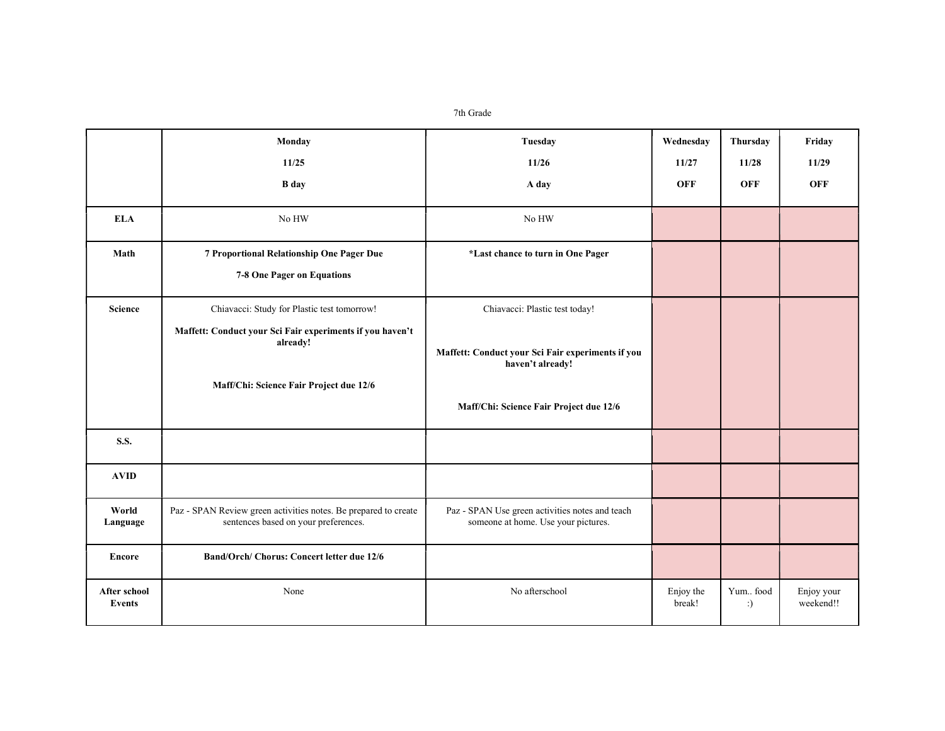7th Grade

|                               | Monday                                                                                                  | Tuesday                                                                                | Wednesday           | Thursdav       | Friday                  |
|-------------------------------|---------------------------------------------------------------------------------------------------------|----------------------------------------------------------------------------------------|---------------------|----------------|-------------------------|
|                               | 11/25                                                                                                   | 11/26                                                                                  | 11/27               | 11/28          | 11/29                   |
|                               | <b>B</b> day                                                                                            | A day                                                                                  | <b>OFF</b>          | <b>OFF</b>     | <b>OFF</b>              |
| <b>ELA</b>                    | No HW                                                                                                   | No HW                                                                                  |                     |                |                         |
| Math                          | 7 Proportional Relationship One Pager Due                                                               | *Last chance to turn in One Pager                                                      |                     |                |                         |
|                               | 7-8 One Pager on Equations                                                                              |                                                                                        |                     |                |                         |
| <b>Science</b>                | Chiavacci: Study for Plastic test tomorrow!                                                             | Chiavacci: Plastic test today!                                                         |                     |                |                         |
|                               | Maffett: Conduct your Sci Fair experiments if you haven't<br>already!                                   | Maffett: Conduct your Sci Fair experiments if you<br>haven't already!                  |                     |                |                         |
|                               | Maff/Chi: Science Fair Project due 12/6                                                                 | Maff/Chi: Science Fair Project due 12/6                                                |                     |                |                         |
| S.S.                          |                                                                                                         |                                                                                        |                     |                |                         |
| <b>AVID</b>                   |                                                                                                         |                                                                                        |                     |                |                         |
| World<br>Language             | Paz - SPAN Review green activities notes. Be prepared to create<br>sentences based on your preferences. | Paz - SPAN Use green activities notes and teach<br>someone at home. Use your pictures. |                     |                |                         |
| <b>Encore</b>                 | Band/Orch/ Chorus: Concert letter due 12/6                                                              |                                                                                        |                     |                |                         |
| After school<br><b>Events</b> | None                                                                                                    | No afterschool                                                                         | Enjoy the<br>break! | Yum food<br>:) | Enjoy your<br>weekend!! |